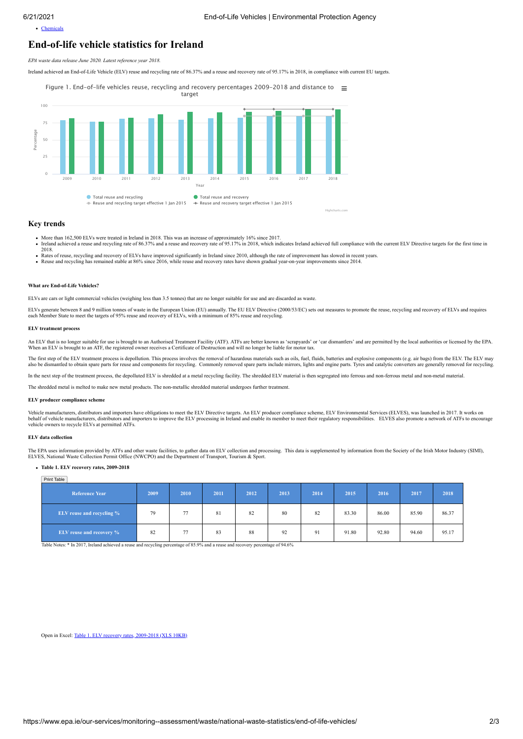[Chemicals](https://www.epa.ie/our-services/monitoring--assessment/waste/chemicals/)

# **End-of-life vehicle statistics for Ireland**

*EPA waste data release June 2020. Latest reference year 2018.*

Ireland achieved an End-of-Life Vehicle (ELV) reuse and recycling rate of 86.37% and a reuse and recovery rate of 95.17% in 2018, in compliance with current EU targets.

Year Percentage Figure 1. End-of-life vehicles reuse, recycling and recovery percentages 2009-2018 and distance to  $\equiv$ target  $\bullet$  Total reuse and recycling  $\bullet$  Total reuse and recovery<br> $\bullet$  Reuse and recycling target effective 1 lan 2015  $\bullet$  Reuse and recovery target  $\rightarrow$  Reuse and recovery target effective 1 Jan 2015 2009 2010 2011 2012 2013 2014 2015 2016 2017 2018 0 25 50 75 100 Highcharts.com

### **Key trends**

- 
- More than 162,500 ELVs were treated in Ireland in 2018. This was an increase of approximately 16% since 2017.<br>Ireland achieved a reuse and recycling rate of 86.37% and a reuse and recovery rate of 95.17% in 2018, which ind 2018.
- Rates of reuse, recycling and recovery of ELVs have improved significantly in Ireland since 2010, although the rate of improvement has slowed in recent years.<br>Reuse and recycling has remained stable at 86% since 2016, whil

## **What are End-of-Life Vehicles?**

ELVs are cars or light commercial vehicles (weighing less than 3.5 tonnes) that are no longer suitable for use and are discarded as waste.

ELVs generate between 8 and 9 million tonnes of waste in the European Union (EU) annually. The EU ELV Directive (2000/53/EC) sets out measures to promote the reuse, recycling and recovery of ELVs and requires each Member S

#### **ELV treatment process**

An ELV that is no longer suitable for use is brought to an Authorised Treatment Facility (ATF). ATFs are better known as 'scrapyards' or 'car dismantlers' and are permitted by the local authorities or licensed by the EPA.<br>

The first step of the ELV treatment process is depollution. This process involves the removal of hazardous materials such as oils, fuel, fluids, batteries and explosive components (e.g. air bags) from the ELV. The ELV may<br>

In the next step of the treatment process, the depolluted ELV is shredded at a metal recycling facility. The shredded ELV material is then segregated into ferrous and non-ferrous metal and non-metal material.

The shredded metal is melted to make new metal products. The non-metallic shredded material undergoes further treatment.

#### **ELV producer compliance scheme**

Vehicle manufacturers, distributors and importers have obligations to meet the ELV Directive targets. An ELV producer compliance scheme, ELV Environmental Services (ELVES), was launched in 2017. It works on<br>behalf of vehic

#### **ELV data collection**

The EPA uses information provided by ATFs and other waste facilities, to gather data on ELV collection and processing. This data is supplemented by information from the Society of the Irish Motor Industry (SIMI),<br>ELVES, Na

### **Table 1. ELV recovery rates, 2009-2018**

| Print Table                      |      |      |      |      |      |      |       |       |       |       |
|----------------------------------|------|------|------|------|------|------|-------|-------|-------|-------|
| <b>Reference Year</b>            | 2009 | 2010 | 2011 | 2012 | 2013 | 2014 | 2015  | 2016  | 2017  | 2018  |
| <b>ELV</b> reuse and recycling % | 79   | 77   | 81   | 82   | 80   | 82   | 83.30 | 86.00 | 85.90 | 86.37 |
| ELV reuse and recovery %         | 82   | 77   | 83   | 88   | 92   | 91   | 91.80 | 92.80 | 94.60 | 95.17 |

Table Notes: \* In 2017, Ireland achieved a reuse and recycling percentage of 85.9% and a reuse and recovery percentage of 94.6%

Open in Excel: [Table 1. ELV recovery rates, 2009-2018 \(XLS 10KB\)](https://www.epa.ie/media/epa-2020/monitoring-amp-assessment/waste/national-waste-statistics/elv/EPA_ELV_June2020-Ref2018_Table1_recovery_rates_2009-2018-_footer.xlsx)